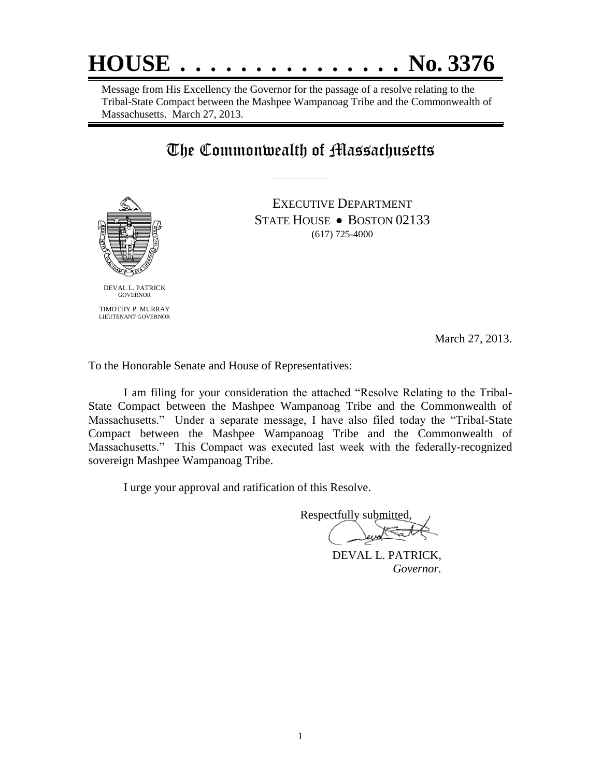

Message from His Excellency the Governor for the passage of a resolve relating to the Tribal-State Compact between the Mashpee Wampanoag Tribe and the Commonwealth of Massachusetts. March 27, 2013.

## The Commonwealth of Massachusetts

——————



EXECUTIVE DEPARTMENT STATE HOUSE • BOSTON 02133 (617) 725-4000

March 27, 2013.

To the Honorable Senate and House of Representatives:

I am filing for your consideration the attached "Resolve Relating to the Tribal-State Compact between the Mashpee Wampanoag Tribe and the Commonwealth of Massachusetts." Under a separate message, I have also filed today the "Tribal-State Compact between the Mashpee Wampanoag Tribe and the Commonwealth of Massachusetts." This Compact was executed last week with the federally-recognized sovereign Mashpee Wampanoag Tribe.

I urge your approval and ratification of this Resolve.

Respectfully submitted,

 DEVAL L. PATRICK, *Governor.*